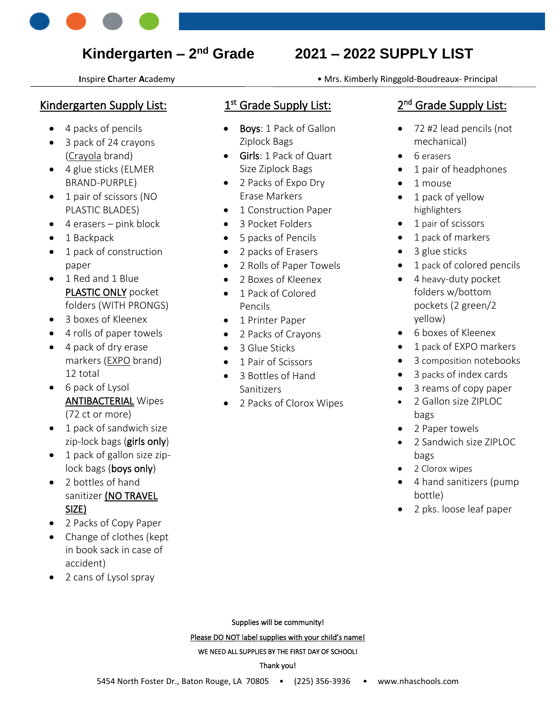

**I**nspire **C**harter **A**cademy • Mrs. Kimberly Ringgold-Boudreaux- Principal

# Kindergarten Supply List:

- 4 packs of pencils
- 3 pack of 24 crayons (Crayola brand)
- 4 glue sticks (ELMER BRAND-PURPLE)
- 1 pair of scissors (NO PLASTIC BLADES)
- $\bullet$  4 erasers pink block
- 1 Backpack
- 1 pack of construction paper
- 1 Red and 1 Blue PLASTIC ONLY pocket folders (WITH PRONGS)
- 3 boxes of Kleenex
- 4 rolls of paper towels
- 4 pack of dry erase markers (EXPO brand) 12 total
- 6 pack of Lysol ANTIBACTERIAL Wipes (72 ct or more)
- 1 pack of sandwich size zip-lock bags (girls only)
- 1 pack of gallon size ziplock bags (boys only)
- 2 bottles of hand sanitizer (NO TRAVEL SIZE)
- 2 Packs of Copy Paper
- Change of clothes (kept in book sack in case of accident)
- 2 cans of Lysol spray

# 1<sup>st</sup> Grade Supply List:

- **Boys**: 1 Pack of Gallon Ziplock Bags
- Girls: 1 Pack of Quart Size Ziplock Bags
- 2 Packs of Expo Dry Erase Markers
- 1 Construction Paper
- 3 Pocket Folders
- 5 packs of Pencils
- 2 packs of Erasers
- 2 Rolls of Paper Towels
- 2 Boxes of Kleenex
- 1 Pack of Colored Pencils
- 1 Printer Paper
- 2 Packs of Crayons
- 3 Glue Sticks
- 1 Pair of Scissors
- 3 Bottles of Hand Sanitizers
- 2 Packs of Clorox Wipes

# 2<sup>nd</sup> Grade Supply List:

- 72 #2 lead pencils (not mechanical)
- 6 erasers
- 1 pair of headphones
- 1 mouse
- 1 pack of yellow highlighters
- 1 pair of scissors
- 1 pack of markers
	- 3 glue sticks
	- 1 pack of colored pencils
	- 4 heavy-duty pocket folders w/bottom pockets (2 green/2 yellow)
- 6 boxes of Kleenex
- 1 pack of EXPO markers
- 3 composition notebooks
- 3 packs of index cards
- 3 reams of copy paper
- 2 Gallon size ZIPLOC bags
- 2 Paper towels
- 2 Sandwich size ZIPLOC bags
- 2 Clorox wipes
- 4 hand sanitizers (pump bottle)
- 2 pks. loose leaf paper

Please DO NOT label supplies with your child's name!

WE NEED ALL SUPPLIES BY THE FIRST DAY OF SCHOOL!

#### Thank you!

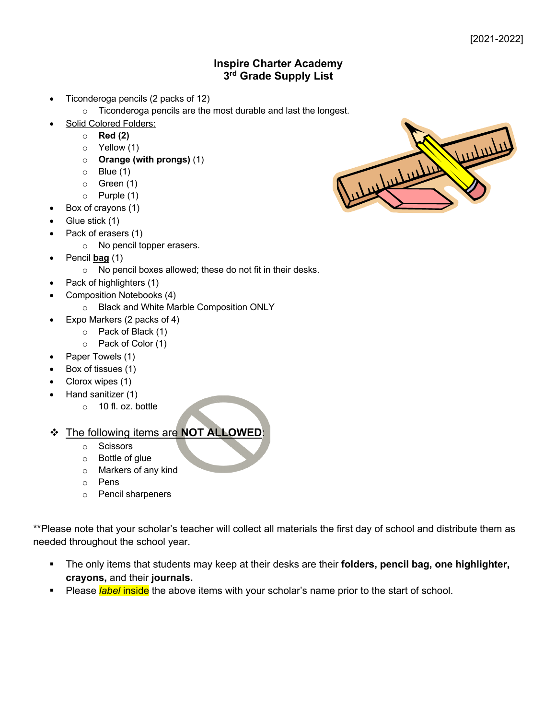# **Inspire Charter Academy 3rd Grade Supply List**

- Ticonderoga pencils (2 packs of 12)
	- o Ticonderoga pencils are the most durable and last the longest.
- Solid Colored Folders:
	- o **Red (2)**
	- o Yellow (1)
	- o **Orange (with prongs)** (1)
	- $\circ$  Blue (1)
	- o Green (1)
	- o Purple (1)
	- Box of crayons (1)
- Glue stick (1)
- Pack of erasers (1)
	- o No pencil topper erasers.
- Pencil **bag** (1)
	- o No pencil boxes allowed; these do not fit in their desks.
- Pack of highlighters (1)
	- Composition Notebooks (4)
		- o Black and White Marble Composition ONLY
- Expo Markers (2 packs of 4)
	- o Pack of Black (1)
	- o Pack of Color (1)
- Paper Towels (1)
- Box of tissues (1)
- Clorox wipes (1)
- Hand sanitizer (1)
	- o 10 fl. oz. bottle

v The following items are **NOT ALLOWED**:

- o Scissors
- o Bottle of glue
- o Markers of any kind
- o Pens
- o Pencil sharpeners

\*\*Please note that your scholar's teacher will collect all materials the first day of school and distribute them as needed throughout the school year.

- § The only items that students may keep at their desks are their **folders, pencil bag, one highlighter, crayons,** and their **journals.**
- § Please *label* inside the above items with your scholar's name prior to the start of school.

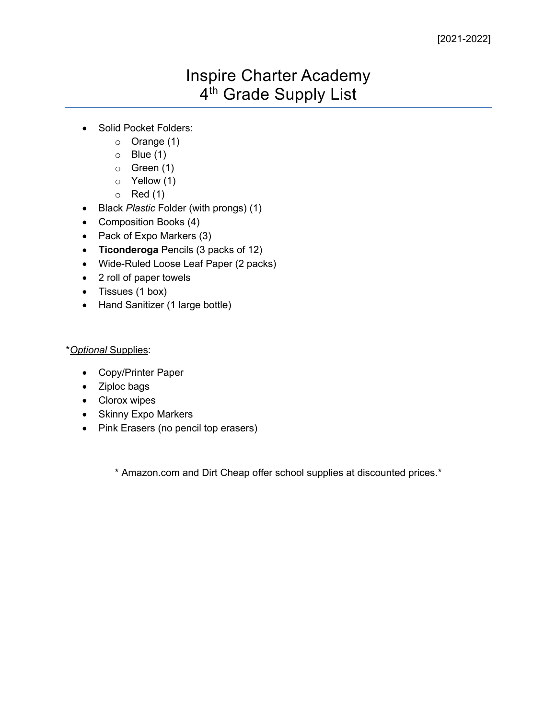# Inspire Charter Academy 4<sup>th</sup> Grade Supply List

- Solid Pocket Folders:
	- o Orange (1)
	- $\circ$  Blue (1)
	- o Green (1)
	- o Yellow (1)
	- $\circ$  Red (1)
- Black *Plastic* Folder (with prongs) (1)
- Composition Books (4)
- Pack of Expo Markers (3)
- **Ticonderoga** Pencils (3 packs of 12)
- Wide-Ruled Loose Leaf Paper (2 packs)
- 2 roll of paper towels
- Tissues (1 box)
- Hand Sanitizer (1 large bottle)

# \**Optional* Supplies:

- Copy/Printer Paper
- Ziploc bags
- Clorox wipes
- Skinny Expo Markers
- Pink Erasers (no pencil top erasers)

\* Amazon.com and Dirt Cheap offer school supplies at discounted prices.\*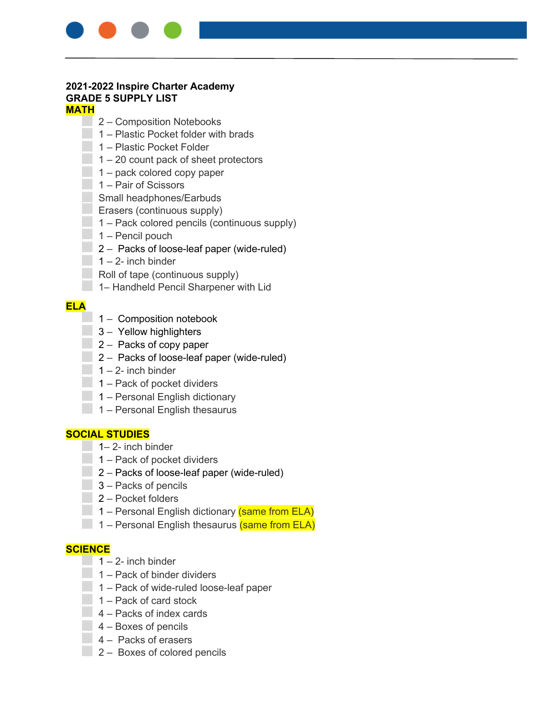

#### **2021-2022 Inspire Charter Academy GRADE 5 SUPPLY LIST MATH**

- **2** Composition Notebooks
- $\Box$  1 Plastic Pocket folder with brads
- ⬜ 1 Plastic Pocket Folder
- $\Box$  1 20 count pack of sheet protectors
- $\blacksquare$  1 pack colored copy paper
- **T** 1 Pair of Scissors
- **Small headphones/Earbuds**
- **Example Erasers (continuous supply)**
- $\Box$  1 Pack colored pencils (continuous supply)
- $\Box$  1 Pencil pouch
- $\Box$  2 Packs of loose-leaf paper (wide-ruled)
- $\Box$  1 2- inch binder
- $\Box$  Roll of tape (continuous supply)
- **THE 1– Handheld Pencil Sharpener with Lid**

### **ELA**

- $\Box$  1 Composition notebook
- $\Box$  3 Yellow highlighters
- $\Box$  2 Packs of copy paper
- ⬜ 2 Packs of loose-leaf paper (wide-ruled)
- $1 2$  inch binder
- $\Box$  1 Pack of pocket dividers
- $\blacksquare$  1 Personal English dictionary
- $\Box$  1 Personal English thesaurus

## **SOCIAL STUDIES**

- $\Box$  1– 2- inch binder
- $\Box$  1 Pack of pocket dividers
- $\Box$  2 Packs of loose-leaf paper (wide-ruled)
- **3** Packs of pencils
- **Z** Pocket folders
- **The 1** Personal English dictionary (same from ELA)
- $\Box$  1 Personal English thesaurus (same from ELA)

## **SCIENCE**

- $\blacksquare$  1 2- inch binder
- $\Box$  1 Pack of binder dividers
- $\Box$  1 Pack of wide-ruled loose-leaf paper
- ⬜ 1 Pack of card stock
- $\Box$  4 Packs of index cards
- $4 -$  Boxes of pencils
- $\Box$  4 Packs of erasers
- $2 -$  Boxes of colored pencils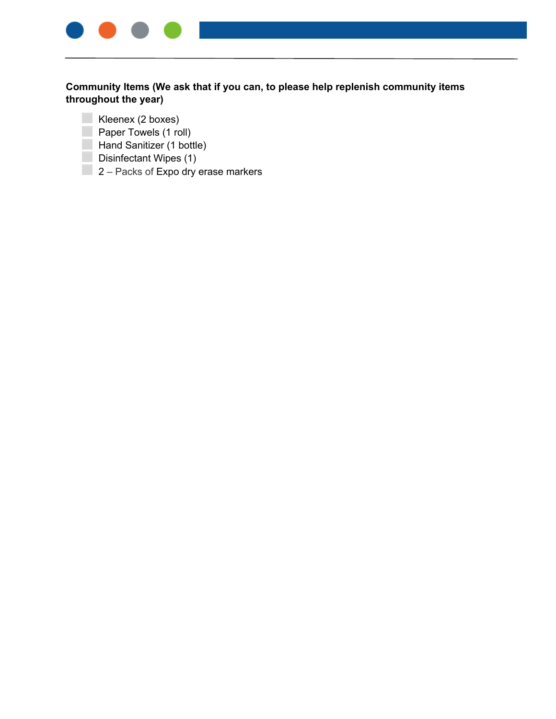

- Kleenex (2 boxes)
- **Paper Towels (1 roll)**
- **Hand Sanitizer (1 bottle)**
- $\Box$  Disinfectant Wipes (1)
- $\Box$  2 Packs of Expo dry erase markers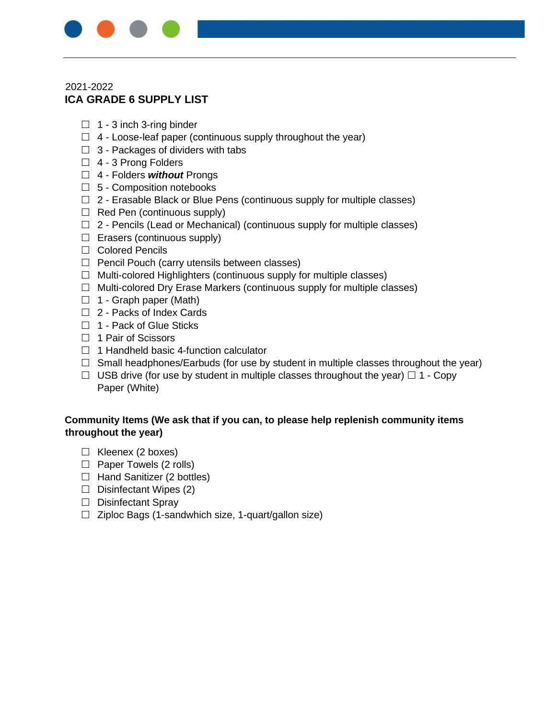

# 2021-2022 **ICA GRADE 6 SUPPLY LIST**

- $\Box$  1 3 inch 3-ring binder
- $\Box$  4 Loose-leaf paper (continuous supply throughout the year)
- $\Box$  3 Packages of dividers with tabs
- $\Box$  4 3 Prong Folders
- 4 Folders *without* Prongs
- $\Box$  5 Composition notebooks
- $\Box$  2 Erasable Black or Blue Pens (continuous supply for multiple classes)
- $\Box$  Red Pen (continuous supply)
- $\Box$  2 Pencils (Lead or Mechanical) (continuous supply for multiple classes)
- $\Box$  Erasers (continuous supply)
- □ Colored Pencils
- $\Box$  Pencil Pouch (carry utensils between classes)
- $\Box$  Multi-colored Highlighters (continuous supply for multiple classes)
- $\Box$  Multi-colored Dry Erase Markers (continuous supply for multiple classes)
- $\Box$  1 Graph paper (Math)
- □ 2 Packs of Index Cards
- □ 1 Pack of Glue Sticks
- $\Box$  1 Pair of Scissors
- $\Box$  1 Handheld basic 4-function calculator
- $\Box$  Small headphones/Earbuds (for use by student in multiple classes throughout the year)
- $\Box$  USB drive (for use by student in multiple classes throughout the year)  $\Box$  1 Copy Paper (White)

- $\Box$  Kleenex (2 boxes)
- $\Box$  Paper Towels (2 rolls)
- $\Box$  Hand Sanitizer (2 bottles)
- $\Box$  Disinfectant Wipes (2)
- $\Box$  Disinfectant Spray
- $\Box$  Ziploc Bags (1-sandwhich size, 1-quart/gallon size)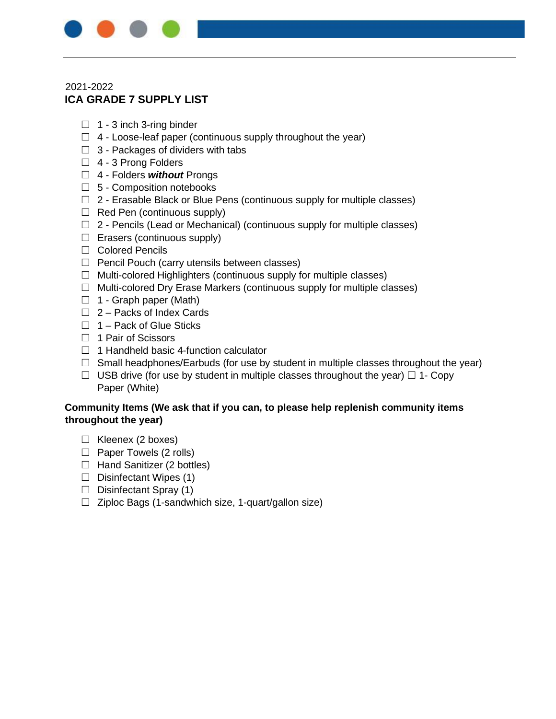

# 2021-2022 **ICA GRADE 7 SUPPLY LIST**

- $\Box$  1 3 inch 3-ring binder
- $\Box$  4 Loose-leaf paper (continuous supply throughout the year)
- $\Box$  3 Packages of dividers with tabs
- □ 4 3 Prong Folders
- 4 Folders *without* Prongs
- $\Box$  5 Composition notebooks
- $\Box$  2 Erasable Black or Blue Pens (continuous supply for multiple classes)
- $\Box$  Red Pen (continuous supply)
- $\Box$  2 Pencils (Lead or Mechanical) (continuous supply for multiple classes)
- $\Box$  Erasers (continuous supply)
- □ Colored Pencils
- $\Box$  Pencil Pouch (carry utensils between classes)
- $\Box$  Multi-colored Highlighters (continuous supply for multiple classes)
- $\Box$  Multi-colored Dry Erase Markers (continuous supply for multiple classes)
- $\Box$  1 Graph paper (Math)
- $\Box$  2 Packs of Index Cards
- $\Box$  1 Pack of Glue Sticks
- $\Box$  1 Pair of Scissors
- $\Box$  1 Handheld basic 4-function calculator
- $\Box$  Small headphones/Earbuds (for use by student in multiple classes throughout the year)
- $\Box$  USB drive (for use by student in multiple classes throughout the year)  $\Box$  1- Copy Paper (White)

- $\Box$  Kleenex (2 boxes)
- $\Box$  Paper Towels (2 rolls)
- $\Box$  Hand Sanitizer (2 bottles)
- $\Box$  Disinfectant Wipes (1)
- $\Box$  Disinfectant Spray (1)
- $\Box$  Ziploc Bags (1-sandwhich size, 1-quart/gallon size)